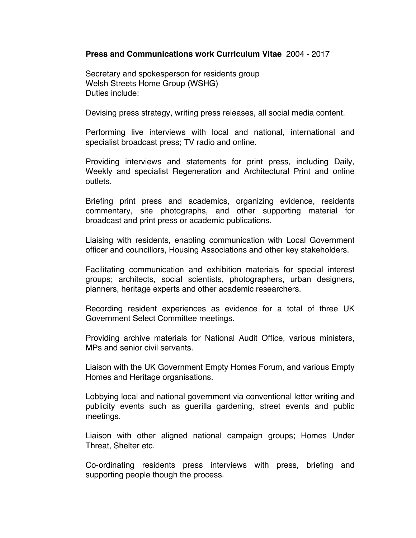## **Press and Communications work Curriculum Vitae** 2004 - 2017

Secretary and spokesperson for residents group Welsh Streets Home Group (WSHG) Duties include:

Devising press strategy, writing press releases, all social media content.

Performing live interviews with local and national, international and specialist broadcast press; TV radio and online.

Providing interviews and statements for print press, including Daily, Weekly and specialist Regeneration and Architectural Print and online outlets.

Briefing print press and academics, organizing evidence, residents commentary, site photographs, and other supporting material for broadcast and print press or academic publications.

Liaising with residents, enabling communication with Local Government officer and councillors, Housing Associations and other key stakeholders.

Facilitating communication and exhibition materials for special interest groups; architects, social scientists, photographers, urban designers, planners, heritage experts and other academic researchers.

Recording resident experiences as evidence for a total of three UK Government Select Committee meetings.

Providing archive materials for National Audit Office, various ministers, MPs and senior civil servants.

Liaison with the UK Government Empty Homes Forum, and various Empty Homes and Heritage organisations.

Lobbying local and national government via conventional letter writing and publicity events such as guerilla gardening, street events and public meetings.

Liaison with other aligned national campaign groups; Homes Under Threat, Shelter etc.

Co-ordinating residents press interviews with press, briefing and supporting people though the process.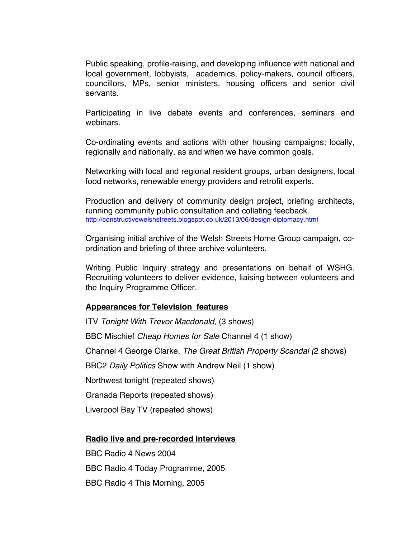Public speaking, profile-raising, and developing influence with national and local government, lobbyists, academics, policy-makers, council officers, councillors, MPs, senior ministers, housing officers and senior civil servants.

Participating in live debate events and conferences, seminars and webinars.

Co-ordinating events and actions with other housing campaigns; locally, regionally and nationally, as and when we have common goals.

Networking with local and regional resident groups, urban designers, local food networks, renewable energy providers and retrofit experts.

Production and delivery of community design project, briefing architects, running community public consultation and collating feedback. http://constructivewelshstreets.blogspot.co.uk/2013/06/design-diplomacy.html

Organising initial archive of the Welsh Streets Home Group campaign, coordination and briefing of three archive volunteers.

Writing Public Inquiry strategy and presentations on behalf of WSHG. Recruiting volunteers to deliver evidence, liaising between volunteers and the Inquiry Programme Officer.

### **Appearances for Television features**

ITV *Tonight With Trevor Macdonald*, (3 shows) BBC Mischief *Cheap Homes for Sale* Channel 4 (1 show) Channel 4 George Clarke, *The Great British Property Scandal (*2 shows) BBC2 *Daily Politics* Show with Andrew Neil (1 show) Northwest tonight (repeated shows) Granada Reports (repeated shows) Liverpool Bay TV (repeated shows)

### **Radio live and pre-recorded interviews**

BBC Radio 4 News 2004 BBC Radio 4 Today Programme, 2005 BBC Radio 4 This Morning, 2005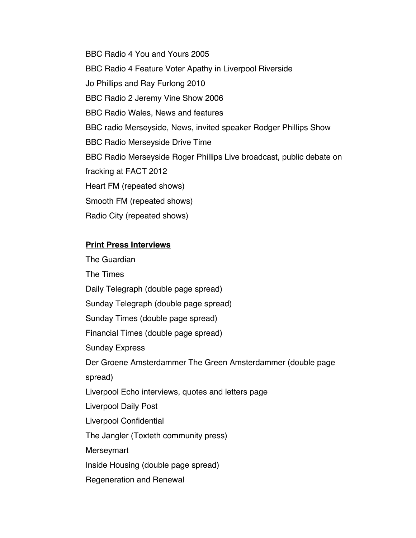BBC Radio 4 You and Yours 2005 BBC Radio 4 Feature Voter Apathy in Liverpool Riverside Jo Phillips and Ray Furlong 2010 BBC Radio 2 Jeremy Vine Show 2006 BBC Radio Wales, News and features BBC radio Merseyside, News, invited speaker Rodger Phillips Show BBC Radio Merseyside Drive Time BBC Radio Merseyside Roger Phillips Live broadcast, public debate on fracking at FACT 2012 Heart FM (repeated shows) Smooth FM (repeated shows) Radio City (repeated shows)

# **Print Press Interviews**

The Guardian The Times Daily Telegraph (double page spread) Sunday Telegraph (double page spread) Sunday Times (double page spread) Financial Times (double page spread) Sunday Express Der Groene Amsterdammer The Green Amsterdammer (double page spread) Liverpool Echo interviews, quotes and letters page Liverpool Daily Post Liverpool Confidential The Jangler (Toxteth community press) Merseymart Inside Housing (double page spread) Regeneration and Renewal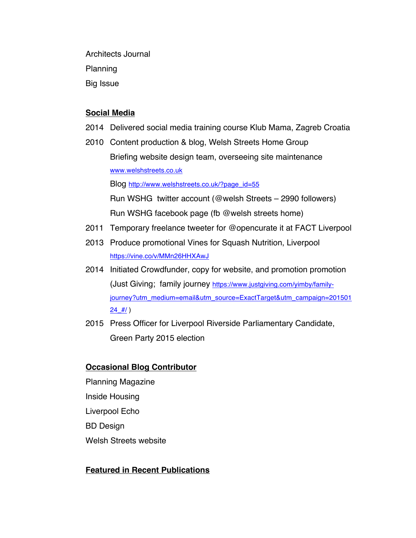Architects Journal Planning Big Issue

## **Social Media**

- 2014 Delivered social media training course Klub Mama, Zagreb Croatia
- 2010 Content production & blog, Welsh Streets Home Group Briefing website design team, overseeing site maintenance www.welshstreets.co.uk

Blog http://www.welshstreets.co.uk/?page\_id=55

Run WSHG twitter account (@welsh Streets – 2990 followers) Run WSHG facebook page (fb @welsh streets home)

- 2011 Temporary freelance tweeter for @opencurate it at FACT Liverpool
- 2013 Produce promotional Vines for Squash Nutrition, Liverpool https://vine.co/v/MMn26HHXAwJ
- 2014 Initiated Crowdfunder, copy for website, and promotion promotion (Just Giving; family journey https://www.justgiving.com/yimby/familyjourney?utm\_medium=email&utm\_source=ExactTarget&utm\_campaign=201501  $24$  # $/$ )
- 2015 Press Officer for Liverpool Riverside Parliamentary Candidate, Green Party 2015 election

# **Occasional Blog Contributor**

Planning Magazine Inside Housing Liverpool Echo BD Design Welsh Streets website

# **Featured in Recent Publications**